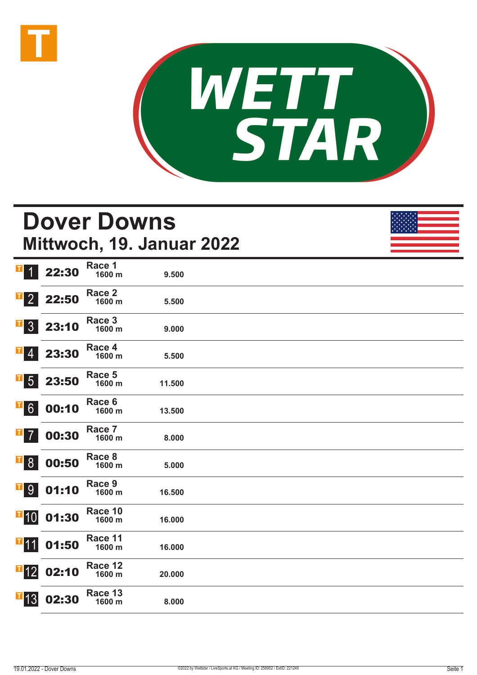



# **Dover Downs Mittwoch, 19. Januar 2022**

| $\mathbf{T}$                   | 22:30 | Race 1<br>1600 m  | 9.500  |  |
|--------------------------------|-------|-------------------|--------|--|
| $\mathbf{F}$ 2                 | 22:50 | Race 2<br>1600 m  | 5.500  |  |
| $\mathbf{F}$ 3                 | 23:10 | Race 3<br>1600 m  | 9.000  |  |
| $\mathbf{T}$<br>$\overline{4}$ | 23:30 | Race 4<br>1600 m  | 5.500  |  |
| I<br>5 <sup>1</sup>            | 23:50 | Race 5<br>1600 m  | 11.500 |  |
| $\overline{F}$ 6               | 00:10 | Race 6<br>1600 m  | 13.500 |  |
| П<br>$\overline{7}$            | 00:30 | Race 7<br>1600 m  | 8.000  |  |
| II.<br>8 <sup>°</sup>          | 00:50 | Race 8<br>1600 m  | 5.000  |  |
| <b>T</b> <sup>9</sup>          | 01:10 | Race 9<br>1600 m  | 16.500 |  |
| $\overline{1}$ 10              | 01:30 | Race 10<br>1600 m | 16.000 |  |
| $\blacksquare$ 11              | 01:50 | Race 11<br>1600 m | 16.000 |  |
| $\textbf{I}$ 12                | 02:10 | Race 12<br>1600 m | 20.000 |  |
| $\mathbf{F}$ 13                | 02:30 | Race 13<br>1600 m | 8.000  |  |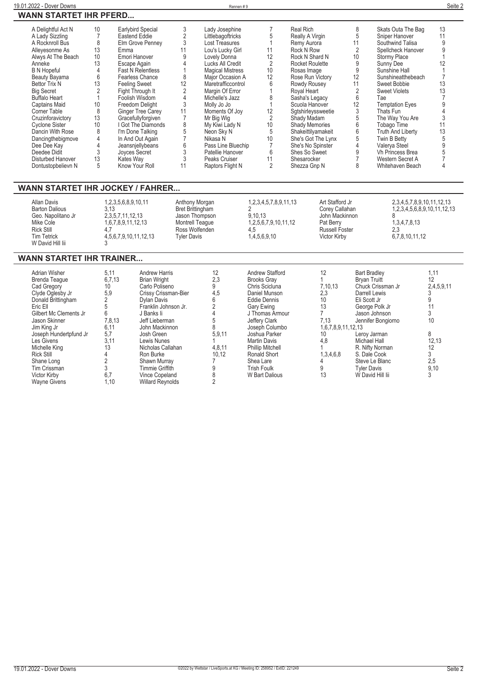| A Delightful Act N    | 10 | Earlybird Special                       | 3  | Lady Josephine          |                | Real Rich              | 8              | Skats Outa The Bag     | 13 |
|-----------------------|----|-----------------------------------------|----|-------------------------|----------------|------------------------|----------------|------------------------|----|
| A Lady Sizzling       |    | Eastend Eddie                           |    | Littlebagoftricks       | 5              | Really A Virgin        | 5              | Sniper Hanover         | 11 |
| A Rocknroll Bus       | 8  | Elm Grove Penney                        |    | Lost Treasures          |                | Remy Aurora            | 11             | Southwind Talisa       |    |
| Alleyesonme As        | 13 | Emma                                    | 11 | Lou's Lucky Girl        | 11             | Rock N Row             | $\overline{2}$ | Spellcheck Hanover     |    |
| Alwys At The Beach    | 10 | Emori Hanover                           |    | Lovely Donna            | 12             | Rock N Shard N         | 10             | Stormy Place           |    |
| Anneke                | 13 | Escape Again                            |    | Lucks All Credit        | $\overline{2}$ | <b>Rocket Roulette</b> | 9              | Sunny Dee              |    |
| <b>B N Hopeful</b>    |    | <b>Fast N Relentless</b>                |    | <b>Magical Mistress</b> | 10             | Rosas Image            | 9              | Sunshine Hall          |    |
| Beauty Bayama         | 6  | Fearless Chance                         | 8  | Major Occasion A        | 12             | Rose Run Victory       | 12             | Sunshineatthebeach     |    |
| <b>Bettor Trix N</b>  | 13 | <b>Feeling Sweet</b>                    | 12 | Maretrafficcontrol      | ĥ              | Rowdy Rousey           | 11             | Sweet Bobbie           | 13 |
| <b>Big Secret</b>     |    | Fight Through It                        |    | Margin Of Error         |                | Royal Heart            |                | <b>Sweet Violets</b>   | 13 |
| <b>Buffalo Heart</b>  |    | Foolish Wisdom                          |    | Michelle's Jazz         |                | Sasha's Legacy         | 6              | Tae                    |    |
| <b>Captains Maid</b>  | 10 | Freedom Delight                         |    | Molly Jo Jo             |                | Scuola Hanover         | 12             | <b>Temptation Eves</b> |    |
| Corner Table          | 8  | Ginger Tree Carey                       | 11 | Moments Of Joy          | 12             | Sgtshirleyssweetie     |                | Thats Fun              |    |
| Cruzinforavictory     | 13 | Gracefullyforgiven                      |    | Mr Big Wig              | $\overline{2}$ | Shady Madam            | 5              | The Way You Are        |    |
| <b>Cyclone Sister</b> | 10 | I Got The Diamonds                      | 8  | My Kiwi Lady N          | 10             | <b>Shady Memories</b>  | 6              | Tobago Time            | 11 |
| Dancin With Rose      | 8  | I'm Done Talking                        |    | Neon Sky N              | 5              | Shakeittilyamakeit     | 6              | Truth And Liberty      | 13 |
| Dancingthebigmove     |    | In And Out Again                        |    | Nikasa N                | 10             | She's Got The Lynx     | 5              | Twin B Betty           |    |
| Dee Dee Kay           |    | Jeansnjellybeans                        |    | Pass Line Bluechip      |                | She's No Spinster      |                | Valerya Steel          |    |
| Deedee Didit          |    | Joyces Secret                           |    | Patellie Hanover        | 6              | Shes So Sweet          |                | Vh Princess Brea       |    |
| Disturbed Hanover     | 13 | Kates Way                               |    | Peaks Cruiser           | 11             | Shesarocker            |                | Western Secret A       |    |
| Dontustopbelievn N    | 5  | Know Your Roll                          | 11 | Raptors Flight N        | $\overline{2}$ | Shezza Gnp N           | 8              | Whitehaven Beach       |    |
|                       |    |                                         |    |                         |                |                        |                |                        |    |
|                       |    | <b>IANN STARTET IHR JOCKEY / FAHRER</b> |    |                         |                |                        |                |                        |    |

#### **WANN STARTET IHR JOCKEY / FAHRER...**

| 6,7,8,10,11,12<br><b>Tim Tetrick</b><br>1.4.5.6.9.10<br>4.5.6.7.9.10.11.12.13<br>Tvler Davis<br>Victor Kirby<br>W David Hill lii | Allan Davis<br><b>Barton Dalious</b><br>Geo. Napolitano Jr<br>Mike Cole<br><b>Rick Still</b> | 1,2,3,5,6,8,9,10,11<br>3.13<br>2, 3, 5, 7, 11, 12, 13<br>1,6,7,8,9,11,12,13<br>4.7 | Anthony Morgan<br><b>Bret Brittingham</b><br>Jason Thompson<br>Montrell Teaque<br>Ross Wolfenden | 1, 2, 3, 4, 5, 7, 8, 9, 11, 13<br>9.10.13<br>1,2,5,6,7,9,10,11,12 | Art Stafford Jr<br>Corey Callahan<br>John Mackinnon<br>Pat Berry<br><b>Russell Foster</b> | 2,3,4,5,7,8,9,10,11,12,13<br>1.2.3.4.5.6.8.9.10.11.12.13<br>1.3.4.7.8.13<br>2.3 |
|----------------------------------------------------------------------------------------------------------------------------------|----------------------------------------------------------------------------------------------|------------------------------------------------------------------------------------|--------------------------------------------------------------------------------------------------|-------------------------------------------------------------------|-------------------------------------------------------------------------------------------|---------------------------------------------------------------------------------|
|----------------------------------------------------------------------------------------------------------------------------------|----------------------------------------------------------------------------------------------|------------------------------------------------------------------------------------|--------------------------------------------------------------------------------------------------|-------------------------------------------------------------------|-------------------------------------------------------------------------------------------|---------------------------------------------------------------------------------|

### **WANN STARTET IHR TRAINER...**

| Adrian Wisher<br>Brenda Teaque<br>Cad Gregory<br>Clyde Oglesby Jr<br>Donald Brittingham<br>Eric Ell<br>Gilbert Mc Clements Jr<br>Jason Skinner<br>Jim King Jr<br>Joseph Hundertpfund Jr<br>Les Givens<br>Michelle King<br><b>Rick Still</b><br>Shane Long<br>Tim Crissman<br><b>Victor Kirby</b> | 5,11<br>6,7,13<br>10<br>5,9<br>6<br>7,8,13<br>6,11<br>5,7<br>3,11<br>13<br>6,7 | Andrew Harris<br><b>Brian Wright</b><br>Carlo Poliseno<br>Crissy Crissman-Bier<br>Dylan Davis<br>Franklin Johnson Jr.<br>J Banks li<br>Jeff Lieberman<br>John Mackinnon<br>Josh Green<br>Lewis Nunes<br>Nicholas Callahan<br>Ron Burke<br>Shawn Murray<br><b>Timmie Griffith</b><br>Vince Copeland | 12<br>2,3<br>4,5<br>b<br>5,9,11<br>4,8,11<br>10, 12 | Andrew Stafford<br><b>Brooks Gray</b><br>Chris Scicluna<br>Daniel Munson<br>Eddie Dennis<br>Gary Ewing<br>J Thomas Armour<br>Jeffery Clark<br>Joseph Columbo<br>Joshua Parker<br><b>Martin Davis</b><br><b>Phillip Mitchell</b><br>Ronald Short<br>Shea Lare<br><b>Trish Foulk</b><br><b>W</b> Bart Dalious | 12<br>7,10,13<br>2,3<br>10<br>13<br>7,13<br>1,6,7,8,9,11,12,13<br>10<br>4,8<br>1,3,4,6,8<br>13 | <b>Bart Bradlev</b><br><b>Brvan Truitt</b><br>Chuck Crissman Jr<br>Darrell Lewis<br>Eli Scott Jr<br>George Polk Jr<br>Jason Johnson<br>Jennifer Bongiorno<br>Leroy Jarman<br>Michael Hall<br>R. Nifty Norman<br>S. Dale Cook<br>Steve Le Blanc<br><b>Tyler Davis</b><br>W David Hill lii | 1,11<br>12<br>2,4,5,9,11<br>10<br>8<br>12,13<br>12<br>2,5<br>9,10<br>3 |
|--------------------------------------------------------------------------------------------------------------------------------------------------------------------------------------------------------------------------------------------------------------------------------------------------|--------------------------------------------------------------------------------|----------------------------------------------------------------------------------------------------------------------------------------------------------------------------------------------------------------------------------------------------------------------------------------------------|-----------------------------------------------------|-------------------------------------------------------------------------------------------------------------------------------------------------------------------------------------------------------------------------------------------------------------------------------------------------------------|------------------------------------------------------------------------------------------------|------------------------------------------------------------------------------------------------------------------------------------------------------------------------------------------------------------------------------------------------------------------------------------------|------------------------------------------------------------------------|
| <b>Wayne Givens</b>                                                                                                                                                                                                                                                                              | 1,10                                                                           | <b>Willard Revnolds</b>                                                                                                                                                                                                                                                                            |                                                     |                                                                                                                                                                                                                                                                                                             |                                                                                                |                                                                                                                                                                                                                                                                                          |                                                                        |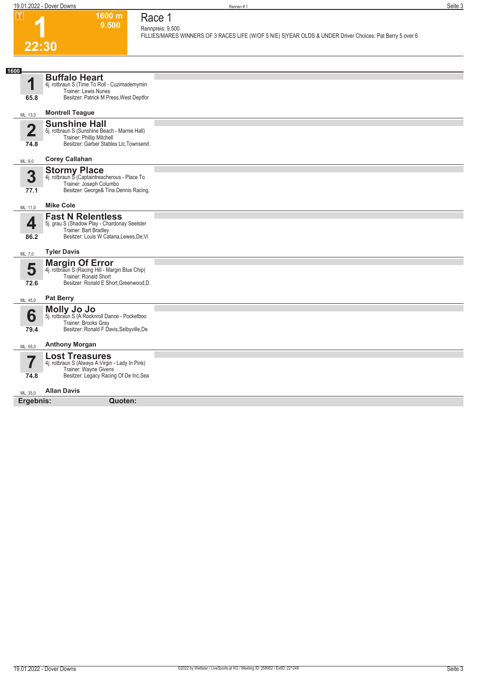**1600 m 9.500** 

**Race 1 Rennpreis: 9.500**

**FILLIES/MARES WINNERS OF 3 RACES LIFE (W/OF 5 N/E) 5|YEAR OLDS & UNDER Driver Choices: Pat Berry 5 over 6** 

### **1 22:30**

| 1600<br>1<br>65.8               | <b>Buffalo Heart</b><br>4j. rotbraun S (Time To Roll - Cuzimademymin<br>Trainer: Lewis Nunes<br>Besitzer: Patrick M Press, West Deptfor      |  |
|---------------------------------|----------------------------------------------------------------------------------------------------------------------------------------------|--|
| ML: 13,0                        | <b>Montrell Teague</b>                                                                                                                       |  |
| $\overline{\mathbf{2}}$<br>74.8 | <b>Sunshine Hall</b><br>5j. rotbraun S (Sunshine Beach - Marnie Hall)<br>Trainer: Phillip Mitchell<br>Besitzer: Garber Stables Llc, Townsend |  |
| ML: 9,0                         | <b>Corey Callahan</b>                                                                                                                        |  |
| 3<br>77.1                       | <b>Stormy Place</b><br>4j. rotbraun S (Captaintreacherous - Place To<br>Trainer: Joseph Columbo<br>Besitzer: George& Tina Dennis Racing,     |  |
| ML: 11,0                        | <b>Mike Cole</b>                                                                                                                             |  |
| 4<br>86.2                       | <b>Fast N Relentless</b><br>5j. grau S (Shadow Play - Chardonay Seelster<br>Trainer: Bart Bradley<br>Besitzer: Louis W Catana, Lewes, De; Vi |  |
| ML: 7,0                         | <b>Tyler Davis</b>                                                                                                                           |  |
| 5<br>72.6                       | <b>Margin Of Error</b><br>4j. rotbraun S (Racing Hill - Margin Blue Chip)<br>Trainer: Ronald Short<br>Besitzer: Ronald E Short, Greenwood, D |  |
| ML: 45,0                        | <b>Pat Berry</b>                                                                                                                             |  |
| 6<br>79.4                       | Molly Jo Jo<br>5j. rotbraun S (A Rocknroll Dance - Pocketboo<br>Trainer: Brooks Gray<br>Besitzer: Ronald F Davis, Selbyville, De             |  |
| ML: 55,0                        | <b>Anthony Morgan</b>                                                                                                                        |  |
| 7<br>74.8                       | <b>Lost Treasures</b><br>4j. rotbraun S (Always A Virgin - Lady In Pink)<br>Trainer: Wayne Givens<br>Besitzer: Legacy Racing Of De Inc, Sea  |  |
| ML: 35.0                        | <b>Allan Davis</b>                                                                                                                           |  |
| Ergebnis:                       | Quoten:                                                                                                                                      |  |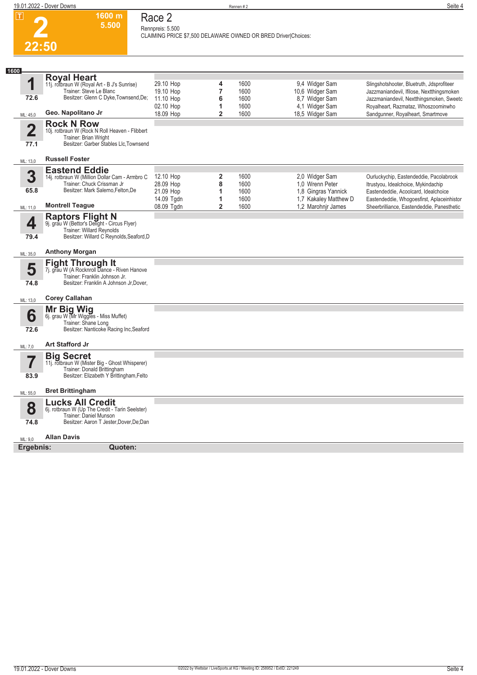

#### **Race 2 Rennpreis: 5.500**

**1600 m 5.500** 

**CLAIMING PRICE \$7,500 DELAWARE OWNED OR BRED Driver|Choices:** 

| 1600                            |                                                                                                                                                         |                                                   |                               |                              |                                                                                   |                                                                                                                                    |
|---------------------------------|---------------------------------------------------------------------------------------------------------------------------------------------------------|---------------------------------------------------|-------------------------------|------------------------------|-----------------------------------------------------------------------------------|------------------------------------------------------------------------------------------------------------------------------------|
| 1<br>72.6                       | <b>Royal Heart</b><br>11j. rotbraun W (Royal Art - B J's Sunrise)<br>Trainer: Steve Le Blanc<br>Besitzer: Glenn C Dyke, Townsend, De;                   | 29.10 Hop<br>19.10 Hop<br>11.10 Hop               | 4<br>$\overline{7}$<br>6      | 1600<br>1600<br>1600         | 9,4 Widger Sam<br>10,6 Widger Sam<br>8,7 Widger Sam                               | Slingshotshooter, Bluetruth, Jdsprofiteer<br>Jazzmaniandevil, Ifilose, Nextthingsmoken<br>Jazzmaniandevil, Nextthingsmoken, Sweetc |
| ML: 45,0                        | Geo. Napolitano Jr                                                                                                                                      | 02.10 Hop<br>18.09 Hop                            | 1<br>2                        | 1600<br>1600                 | 4,1 Widger Sam<br>18,5 Widger Sam                                                 | Royalheart, Razmataz, Whoszoominwho<br>Sandqunner, Royalheart, Smartmove                                                           |
| $\overline{\mathbf{2}}$<br>77.1 | <b>Rock N Row</b><br>10j. rotbraun W (Rock N Roll Heaven - Flibbert<br>Trainer: Brian Wright<br>Besitzer: Garber Stables Llc. Townsend                  |                                                   |                               |                              |                                                                                   |                                                                                                                                    |
| ML: 13,0                        | <b>Russell Foster</b>                                                                                                                                   |                                                   |                               |                              |                                                                                   |                                                                                                                                    |
| 3<br>65.8                       | <b>Eastend Eddie</b><br>14j. rotbraun W (Million Dollar Cam - Armbro C<br>Trainer: Chuck Crissman Jr<br>Besitzer: Mark Salerno, Felton, De              | 12.10 Hop<br>28.09 Hop<br>21.09 Hop<br>14.09 Tgdn | $\overline{2}$<br>8<br>1<br>1 | 1600<br>1600<br>1600<br>1600 | 2.0 Widger Sam<br>1.0 Wrenn Peter<br>1,8 Gingras Yannick<br>1,7 Kakaley Matthew D | Ourluckychip, Eastendeddie, Pacolabrook<br>Itrustyou, Idealchoice, Mykindachip<br>Eastendeddie, Acoolcard, Idealchoice             |
| ML: 11,0                        | <b>Montrell Teague</b>                                                                                                                                  | 08.09 Tgdn                                        | $\overline{2}$                | 1600                         | 1,2 Marohnjr James                                                                | Eastendeddie, Whogoesfirst, Aplaceinhistor<br>Sheerbrilliance, Eastendeddie, Panesthetic                                           |
| 4<br>79.4                       | <b>Raptors Flight N</b><br>9j. grau W (Bettor's Delight - Circus Flyer)<br><b>Trainer: Willard Reynolds</b><br>Besitzer: Willard C Reynolds, Seaford, D |                                                   |                               |                              |                                                                                   |                                                                                                                                    |
| ML: 35,0                        | <b>Anthony Morgan</b>                                                                                                                                   |                                                   |                               |                              |                                                                                   |                                                                                                                                    |
| 5<br>74.8                       | <b>Fight Through It</b><br>7j. grau W (A Rocknroll Dance - Riven Hanove<br>Trainer: Franklin Johnson Jr.<br>Besitzer: Franklin A Johnson Jr, Dover,     |                                                   |                               |                              |                                                                                   |                                                                                                                                    |
| ML: 13,0                        | <b>Corey Callahan</b>                                                                                                                                   |                                                   |                               |                              |                                                                                   |                                                                                                                                    |
| 6<br>72.6                       | Mr Big Wig<br>6j. grau W (Mr Wiggles - Miss Muffet)<br>Trainer: Shane Long<br>Besitzer: Nanticoke Racing Inc, Seaford                                   |                                                   |                               |                              |                                                                                   |                                                                                                                                    |
| ML: 7,0                         | <b>Art Stafford Jr</b>                                                                                                                                  |                                                   |                               |                              |                                                                                   |                                                                                                                                    |
| 83.9                            | <b>Big Secret</b><br>11j. rotbraun W (Mister Big - Ghost Whisperer)<br>Trainer: Donald Brittingham<br>Besitzer: Elizabeth Y Brittingham, Felto          |                                                   |                               |                              |                                                                                   |                                                                                                                                    |
| ML: 55,0                        | <b>Bret Brittingham</b>                                                                                                                                 |                                                   |                               |                              |                                                                                   |                                                                                                                                    |
| 8                               | <b>Lucks All Credit</b><br>6j. rotbraun W (Up The Credit - Tarin Seelster)<br>Trainer: Daniel Munson                                                    |                                                   |                               |                              |                                                                                   |                                                                                                                                    |
| 74.8                            | Besitzer: Aaron T Jester, Dover, De; Dan                                                                                                                |                                                   |                               |                              |                                                                                   |                                                                                                                                    |
| ML: 9,0                         | <b>Allan Davis</b>                                                                                                                                      |                                                   |                               |                              |                                                                                   |                                                                                                                                    |
| Ergebnis:                       | Quoten:                                                                                                                                                 |                                                   |                               |                              |                                                                                   |                                                                                                                                    |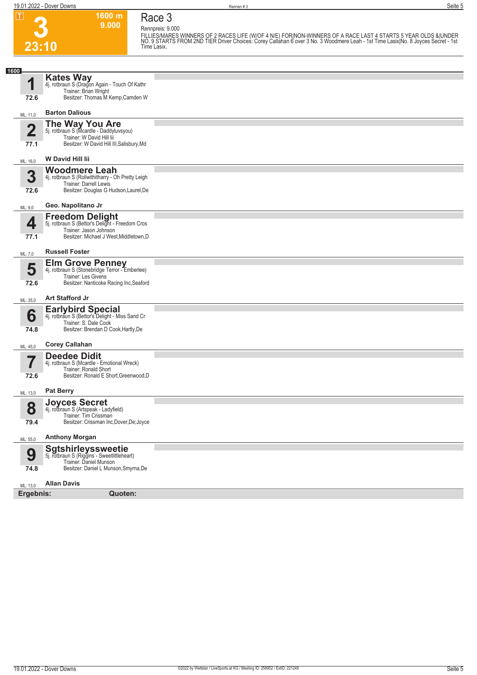**Race 3 Rennpreis: 9.000**



**1600 m 9.000** 

FILLIES/MARES WINNERS OF 2 RACES LIFE (W/OF 4 N/E) FORINON-WINNERS OF A RACE LAST 4 STARTS 5 YEAR OLDS &|UNDER<br>NO. 9 STARTS FROM 2ND TIER Driver Choices: Corey Callahan 6 over 3 No. 3 Woodmere Leah - 1st Time Lasix|No. 8 J

| 1600                    |                                                                             |  |
|-------------------------|-----------------------------------------------------------------------------|--|
| 1                       | <b>Kates Way</b><br>4j. rotbraun S (Dragon Again - Touch Of Kathr           |  |
| 72.6                    | Trainer: Brian Wright<br>Besitzer: Thomas M Kemp, Camden W                  |  |
| ML: 11,0                | <b>Barton Dalious</b>                                                       |  |
|                         | <b>The Way You Are</b><br>5j. rotbraun S (Mcardle - Daddyluvsyou)           |  |
| $\overline{\mathbf{2}}$ | Trainer: W David Hill Iii                                                   |  |
| 77.1                    | Besitzer: W David Hill III, Salisbury, Md                                   |  |
| ML: 16,0                | W David Hill lii                                                            |  |
| 3                       | <b>Woodmere Leah</b><br>4j. rotbraun S (Rollwithitharry - Oh Pretty Leigh   |  |
|                         | Trainer: Darrell Lewis                                                      |  |
| 72.6                    | Besitzer: Douglas G Hudson, Laurel, De                                      |  |
| ML: 9,0                 | Geo. Napolitano Jr                                                          |  |
| 4                       | <b>Freedom Delight</b><br>5j. rotbraun S (Bettor's Delight - Freedom Cros   |  |
|                         | Trainer: Jason Johnson                                                      |  |
| 77.1                    | Besitzer: Michael J West, Middletown, D                                     |  |
| ML: 7,0                 | <b>Russell Foster</b>                                                       |  |
| 5                       | Elm Grove Penney<br>4j. rotbraun S (Stonebridge Terror - Emberlee)          |  |
| 72.6                    | Trainer: Les Givens<br>Besitzer: Nanticoke Racing Inc, Seaford              |  |
| ML: 35,0                | <b>Art Stafford Jr</b>                                                      |  |
|                         | <b>Earlybird Special</b><br>4j. rotbraun S (Bettor's Delight - Miss Sand Cr |  |
| 6                       | Trainer: S. Dale Cook                                                       |  |
| 74.8                    | Besitzer: Brendan D Cook, Hartly, De                                        |  |
| ML: 45,0                | <b>Corey Callahan</b>                                                       |  |
| $\overline{\prime}$     | <b>Deedee Didit</b>                                                         |  |
|                         | 4j. rotbraun S (Mcardle - Emotional Wreck)<br>Trainer: Ronald Short         |  |
| 72.6                    | Besitzer: Ronald E Short, Greenwood, D                                      |  |
| ML: 13,0                | <b>Pat Berry</b>                                                            |  |
| 8                       | <b>Joyces Secret</b><br>4j. rotbraun S (Artspeak - Ladyfield)               |  |
|                         | Trainer: Tim Crissman                                                       |  |
| 79.4                    | Besitzer: Crissman Inc, Dover, De; Joyce                                    |  |
| ML: 55,0                | <b>Anthony Morgan</b>                                                       |  |
| 9                       | Sgtshirleyssweetie<br>5j. rotbraun S (Riggins - Sweetlittleheart)           |  |
|                         | Trainer: Daniel Munson                                                      |  |
| 74.8                    | Besitzer: Daniel L Munson, Smyrna, De                                       |  |
| ML: 13,0                | <b>Allan Davis</b>                                                          |  |
| Ergebnis:               | Quoten:                                                                     |  |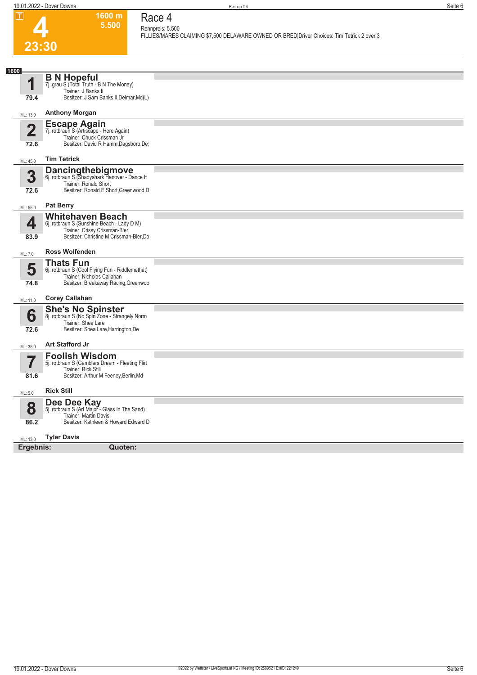**1600 m 5.500**  **Race 4**

| ட              | ווו טטטו<br>5.500                                                         | Kace 4                                                                                                         |
|----------------|---------------------------------------------------------------------------|----------------------------------------------------------------------------------------------------------------|
|                |                                                                           | Rennpreis: 5.500<br>FILLIES/MARES CLAIMING \$7,500 DELAWARE OWNED OR BRED Driver Choices: Tim Tetrick 2 over 3 |
| 23:30          |                                                                           |                                                                                                                |
|                |                                                                           |                                                                                                                |
| 1600           | <b>B N Hopeful</b>                                                        |                                                                                                                |
| 1              | 7j. grau S (Total Truth - B N The Money)<br>Trainer: J Banks li           |                                                                                                                |
| 79.4           | Besitzer: J Sam Banks II, Delmar, Md(L)                                   |                                                                                                                |
| ML: 13,0       | <b>Anthony Morgan</b>                                                     |                                                                                                                |
| $\overline{2}$ | <b>Escape Again</b><br>7j. rotbraun S (Artiscape - Here Again)            |                                                                                                                |
|                | Trainer: Chuck Crissman Jr                                                |                                                                                                                |
| 72.6           | Besitzer: David R Hamm, Dagsboro, De;                                     |                                                                                                                |
| ML: 45,0       | <b>Tim Tetrick</b>                                                        |                                                                                                                |
| 3              | <b>Dancingthebigmove</b><br>6j. rotbraun S (Shadyshark Hanover - Dance H  |                                                                                                                |
|                | Trainer: Ronald Short                                                     |                                                                                                                |
| 72.6           | Besitzer: Ronald E Short, Greenwood, D                                    |                                                                                                                |
| ML: 55,0       | <b>Pat Berry</b>                                                          |                                                                                                                |
| 4              | <b>Whitehaven Beach</b><br>6j. rotbraun S (Sunshine Beach - Lady D M)     |                                                                                                                |
|                | Trainer: Crissy Crissman-Bier                                             |                                                                                                                |
| 83.9           | Besitzer: Christine M Crissman-Bier, Do                                   |                                                                                                                |
| ML: 7,0        | <b>Ross Wolfenden</b>                                                     |                                                                                                                |
| 5              | <b>Thats Fun</b><br>6j. rotbraun S (Cool Flying Fun - Riddlemethat)       |                                                                                                                |
| 74.8           | Trainer: Nicholas Callahan<br>Besitzer: Breakaway Racing, Greenwoo        |                                                                                                                |
|                |                                                                           |                                                                                                                |
| ML: 11,0       | <b>Corey Callahan</b>                                                     |                                                                                                                |
| 6              | <b>She's No Spinster</b><br>8j. rotbraun S (No Spin Zone - Strangely Norm |                                                                                                                |
| 72.6           | Trainer: Shea Lare<br>Besitzer: Shea Lare, Harrington, De                 |                                                                                                                |
|                |                                                                           |                                                                                                                |
| ML: 35,0       | <b>Art Stafford Jr</b>                                                    |                                                                                                                |
|                | <b>Foolish Wisdom</b><br>5j. rotbraun S (Gamblers Dream - Fleeting Flirt  |                                                                                                                |
|                | Trainer: Rick Still                                                       |                                                                                                                |
| 81.6           | Besitzer: Arthur M Feeney, Berlin, Md                                     |                                                                                                                |
| ML: 9,0        | <b>Rick Still</b>                                                         |                                                                                                                |
| 8              | <b>Dee Dee Kay</b><br>5j. rotbraun S (Art Major - Glass In The Sand)      |                                                                                                                |
| 86.2           | Trainer: Martin Davis<br>Besitzer: Kathleen & Howard Edward D             |                                                                                                                |
|                |                                                                           |                                                                                                                |
| ML: 13,0       | <b>Tyler Davis</b>                                                        |                                                                                                                |
| Ergebnis:      | Quoten:                                                                   |                                                                                                                |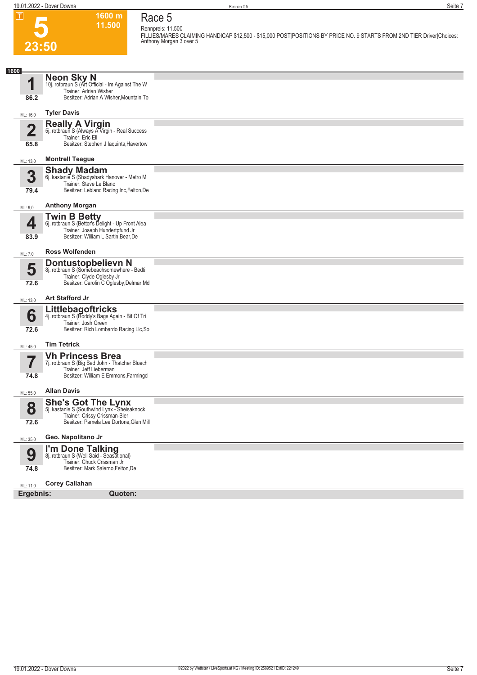

#### **Race 5 Rennpreis: 11.500**

**1600 m 11.500** 

**FILLIES/MARES CLAIMING HANDICAP \$12,500 - \$15,000 POST|POSITIONS BY PRICE NO. 9 STARTS FROM 2ND TIER Driver|Choices: Anthony Morgan 3 over 5** 

| 1600           |                                                                                                     |  |
|----------------|-----------------------------------------------------------------------------------------------------|--|
| 1              | <b>Neon Sky N</b><br>10j. rotbraun S (Art Official - Im Against The W                               |  |
|                | Trainer: Adrian Wisher                                                                              |  |
| 86.2           | Besitzer: Adrian A Wisher, Mountain To                                                              |  |
| ML: 16,0       | <b>Tyler Davis</b>                                                                                  |  |
| $\overline{2}$ | <b>Really A Virgin</b><br>5j. rotbraun S (Always A Virgin - Real Success                            |  |
| 65.8           | Trainer: Eric Ell<br>Besitzer: Stephen J laquinta, Havertow                                         |  |
| ML: 13,0       | <b>Montrell Teague</b>                                                                              |  |
| 3              | <b>Shady Madam</b><br>6j. kastanie S (Shadyshark Hanover - Metro M                                  |  |
| 79.4           | Trainer: Steve Le Blanc<br>Besitzer: Leblanc Racing Inc, Felton, De                                 |  |
|                |                                                                                                     |  |
| ML: 9,0        | <b>Anthony Morgan</b>                                                                               |  |
| 4              | Twin B Betty<br>6j. rotbraun S (Bettor's Delight - Up Front Alea<br>Trainer: Joseph Hundertpfund Jr |  |
| 83.9           | Besitzer: William L Sartin, Bear, De                                                                |  |
| ML: 7,0        | <b>Ross Wolfenden</b>                                                                               |  |
| 5              | <b>Dontustopbelievn N</b><br>8j. rotbraun S (Somebeachsomewhere - Bedti                             |  |
| 72.6           | Trainer: Clyde Oglesby Jr<br>Besitzer: Carolin C Oglesby, Delmar, Md                                |  |
| ML: 13,0       | <b>Art Stafford Jr</b>                                                                              |  |
|                |                                                                                                     |  |
| b              | Littlebagoftricks<br>4j. rotbraun S (Roddy's Bags Again - Bit Of Tri<br>Trainer: Josh Green         |  |
| 72.6           | Besitzer: Rich Lombardo Racing Llc, So                                                              |  |
| ML: 45,0       | <b>Tim Tetrick</b>                                                                                  |  |
|                | Vh Princess Brea<br>7j. rotbraun S (Big Bad John - Thatcher Bluech                                  |  |
| 74.8           | Trainer: Jeff Lieberman<br>Besitzer: William E Emmons, Farmingd                                     |  |
|                | <b>Allan Davis</b>                                                                                  |  |
| ML: 55,0       |                                                                                                     |  |
| 8              | <b>She's Got The Lynx</b><br>5j. kastanie S (Southwind Lynx - Sheisaknock                           |  |
| 72.6           | Trainer: Crissy Crissman-Bier<br>Besitzer: Pamela Lee Dortone, Glen Mill                            |  |
| ML: 35,0       | Geo. Napolitano Jr                                                                                  |  |
|                | I'm Done Talking<br>8j. rotbraun S (Well Said - Seasational)                                        |  |
| 9              | Trainer: Chuck Crissman Jr                                                                          |  |
| 74.8           | Besitzer: Mark Salerno, Felton, De                                                                  |  |
| ML: 11,0       | <b>Corey Callahan</b>                                                                               |  |
| Ergebnis:      | Quoten:                                                                                             |  |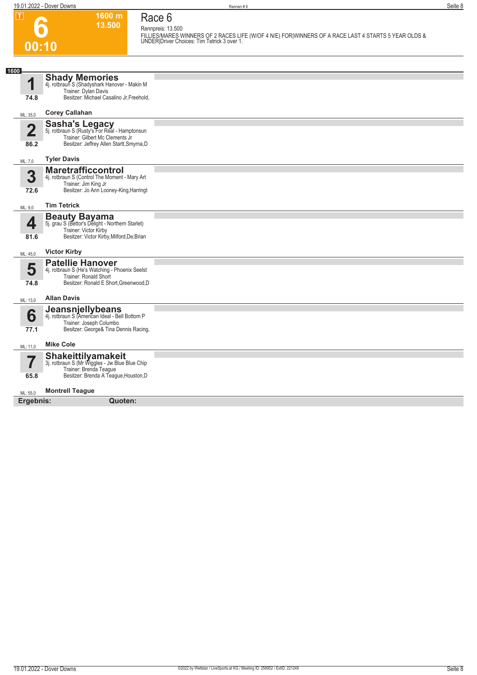**1600 m**

**Race 6**

# **6 00:10**

**1**

**74.8**

**1600**

**13.500 Rennpreis: 13.500 FILLIES/MARES WINNERS OF 2 RACES LIFE (W/OF 4 N/E) FOR|WINNERS OF A RACE LAST 4 STARTS 5 YEAR OLDS & UNDER|Driver Choices: Tim Tetrick 3 over 1. Shady Memories**<br>4j. rotbraun S (Shadyshark Hanover - Makin M<br>Trainer: Dylan Davis<br>Besitzer: Michael Casalino Jr,Freehold,

 $M_{\odot}$  35.0 **Corey Callahan**

| IVIL. JO,U |                                                                                                                                                        |  |
|------------|--------------------------------------------------------------------------------------------------------------------------------------------------------|--|
| 2<br>86.2  | <b>Sasha's Legacy</b><br>5j. rotbraun S (Rusty's For Real - Hamptonsun<br>Trainer: Gilbert Mc Clements Jr<br>Besitzer: Jeffrey Allen Startt, Smyrna, D |  |
| ML: 7,0    | <b>Tyler Davis</b>                                                                                                                                     |  |
| 3<br>72.6  | <b>Maretrafficcontrol</b><br>4j. rotbraun S (Control The Moment - Mary Art<br>Trainer: Jim King Jr<br>Besitzer: Jo Ann Looney-King, Harringt           |  |
| ML: 9,0    | <b>Tim Tetrick</b>                                                                                                                                     |  |
| 4<br>81.6  | <b>Beauty Bayama</b><br>5j. grau S (Bettor's Delight - Northern Starlet)<br>Trainer: Victor Kirby<br>Besitzer: Victor Kirby, Milford, De; Brian        |  |
| ML: 45,0   | <b>Victor Kirby</b>                                                                                                                                    |  |
| 5<br>74.8  | <b>Patellie Hanover</b><br>4j. rotbraun S (He's Watching - Phoenix Seelst<br><b>Trainer: Ronald Short</b><br>Besitzer: Ronald E Short, Greenwood, D    |  |
| ML: 13,0   | <b>Allan Davis</b>                                                                                                                                     |  |
| 6<br>77.1  | <b>Jeansnjellybeans</b><br>4j. rotbraun S (American Ideal - Bell Bottom P<br>Trainer: Joseph Columbo<br>Besitzer: George& Tina Dennis Racing,          |  |
| ML: 11,0   | <b>Mike Cole</b>                                                                                                                                       |  |
| 57<br>65.8 | Shakeittilyamakeit<br>3j. rotbraun S (Mr Wiggles - Jw Blue Blue Chip<br>Trainer: Brenda Teague<br>Besitzer: Brenda A Teague, Houston, D                |  |
| ML: 55,0   | <b>Montrell Teague</b>                                                                                                                                 |  |
| Ergebnis:  | Quoten:                                                                                                                                                |  |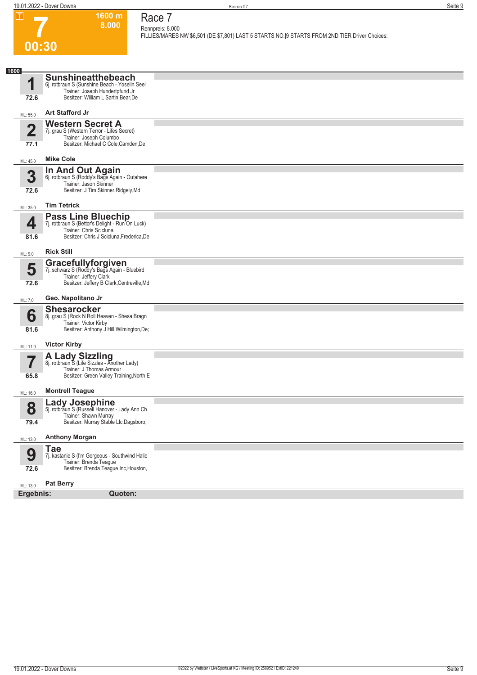**1600 m 8.000**  **Race 7 Rennpreis: 8.000**

| .                       | 00011<br>8.000                                                                   | Race <i>I</i>                                                                                   |
|-------------------------|----------------------------------------------------------------------------------|-------------------------------------------------------------------------------------------------|
|                         |                                                                                  | Rennpreis: 8.000                                                                                |
|                         |                                                                                  | FILLIES/MARES NW \$6,501 (DE \$7,801) LAST 5 STARTS NO. [9 STARTS FROM 2ND TIER Driver Choices: |
| 00:30                   |                                                                                  |                                                                                                 |
|                         |                                                                                  |                                                                                                 |
| 1600                    |                                                                                  |                                                                                                 |
|                         | Sunshineatthebeach                                                               |                                                                                                 |
| 1                       | 6j. rotbraun S (Sunshine Beach - Yoselin Seel<br>Trainer: Joseph Hundertpfund Jr |                                                                                                 |
| 72.6                    | Besitzer: William L Sartin, Bear, De                                             |                                                                                                 |
|                         |                                                                                  |                                                                                                 |
| ML: 55,0                | <b>Art Stafford Jr</b>                                                           |                                                                                                 |
|                         | <b>Western Secret A</b>                                                          |                                                                                                 |
| $\overline{\mathbf{2}}$ | 7j. grau S (Western Terror - Lifes Secret)<br>Trainer: Joseph Columbo            |                                                                                                 |
| 77.1                    | Besitzer: Michael C Cole, Camden, De                                             |                                                                                                 |
|                         |                                                                                  |                                                                                                 |
| ML: 45,0                | <b>Mike Cole</b>                                                                 |                                                                                                 |
| 3                       | In And Out Again<br>6j. rotbraun S (Roddy's Bags Again - Outahere                |                                                                                                 |
|                         | Trainer: Jason Skinner                                                           |                                                                                                 |
| 72.6                    | Besitzer: J Tim Skinner, Ridgely, Md                                             |                                                                                                 |
|                         | <b>Tim Tetrick</b>                                                               |                                                                                                 |
| ML: 35,0                |                                                                                  |                                                                                                 |
| 4                       | <b>Pass Line Bluechip</b><br>7j. rotbraun S (Bettor's Delight - Run On Luck)     |                                                                                                 |
|                         | Trainer: Chris Scicluna                                                          |                                                                                                 |
| 81.6                    | Besitzer: Chris J Scicluna, Frederica, De                                        |                                                                                                 |
| ML: 9,0                 | <b>Rick Still</b>                                                                |                                                                                                 |
|                         |                                                                                  |                                                                                                 |
| 5                       | <b>Gracefullyforgiven</b><br>7j. schwarz S (Roddy's Bags Again - Bluebird        |                                                                                                 |
| 72.6                    | Trainer: Jeffery Clark<br>Besitzer: Jeffery B Clark, Centreville, Md             |                                                                                                 |
|                         |                                                                                  |                                                                                                 |
| ML: 7,0                 | Geo. Napolitano Jr                                                               |                                                                                                 |
|                         | <b>Shesarocker</b>                                                               |                                                                                                 |
| 6                       | 8j. grau S (Rock N Roll Heaven - Shesa Bragn<br>Trainer: Victor Kirby            |                                                                                                 |
| 81.6                    | Besitzer: Anthony J Hill, Wilmington, De;                                        |                                                                                                 |
|                         | <b>Victor Kirby</b>                                                              |                                                                                                 |
| ML: 11,0                |                                                                                  |                                                                                                 |
|                         | A Lady Sizzling<br>8j. rotbraun S (Life Sizzles - Another Lady)                  |                                                                                                 |
|                         | Trainer: J Thomas Armour                                                         |                                                                                                 |
| 65.8                    | Besitzer: Green Valley Training, North E                                         |                                                                                                 |
| ML: 16,0                | <b>Montrell Teague</b>                                                           |                                                                                                 |
|                         |                                                                                  |                                                                                                 |
| 8                       | <b>Lady Josephine</b><br>5j. rotbraun S (Russell Hanover - Lady Ann Ch           |                                                                                                 |
| 79.4                    | Trainer: Shawn Murray<br>Besitzer: Murray Stable Llc, Dagsboro,                  |                                                                                                 |
|                         |                                                                                  |                                                                                                 |
| ML: 13,0                | <b>Anthony Morgan</b>                                                            |                                                                                                 |
| 9                       | <b>Tae</b>                                                                       |                                                                                                 |
|                         | 7j. kastanie S (I'm Gorgeous - Southwind Halie<br>Trainer: Brenda Teague         |                                                                                                 |
| 72.6                    | Besitzer: Brenda Teague Inc, Houston,                                            |                                                                                                 |
|                         |                                                                                  |                                                                                                 |
| ML: 13,0                | <b>Pat Berry</b>                                                                 |                                                                                                 |
| Ergebnis:               | Quoten:                                                                          |                                                                                                 |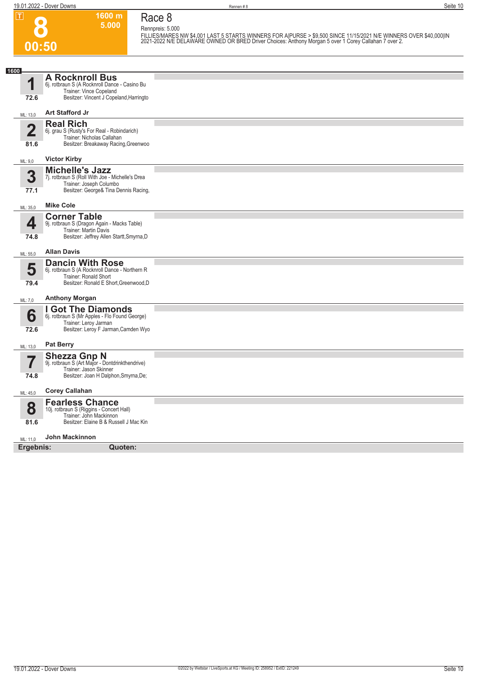**00:50**

**Race 8**

**Rennpreis: 5.000**

**1600 m 5.000** 

FILLIES/MARES NW \$4,001 LAST 5 STARTS WINNERS FOR A|PURSE > \$9,500 SINCE 11/15/2021 N/E WINNERS OVER \$40,000|IN<br>2021-2022 N/E DELAWARE OWNED OR BRED Driver Choices: Anthony Morgan 5 over 1 Corey Callahan 7 over 2.

| 1600                    |                                                                                                                |  |
|-------------------------|----------------------------------------------------------------------------------------------------------------|--|
|                         | <b>A Rocknroll Bus</b><br>6j. rotbraun S (A Rocknroll Dance - Casino Bu<br>Trainer: Vince Copeland             |  |
| 72.6                    | Besitzer: Vincent J Copeland, Harringto                                                                        |  |
| ML: 13,0                | Art Stafford Jr                                                                                                |  |
| $\overline{\mathbf{2}}$ | <b>Real Rich</b><br>6j. grau S (Rusty's For Real - Robindarich)                                                |  |
| 81.6                    | Trainer: Nicholas Callahan<br>Besitzer: Breakaway Racing, Greenwoo                                             |  |
|                         |                                                                                                                |  |
| ML: 9,0                 | <b>Victor Kirby</b>                                                                                            |  |
| 3                       | <b>Michelle's Jazz</b><br>7j. rotbraun S (Roll With Joe - Michelle's Drea<br>Trainer: Joseph Columbo           |  |
| 77.1                    | Besitzer: George& Tina Dennis Racing,                                                                          |  |
| ML: 35,0                | <b>Mike Cole</b>                                                                                               |  |
| 4                       | <b>Corner Table</b><br>9j. rotbraun S (Dragon Again - Macks Table)                                             |  |
| 74.8                    | <b>Trainer: Martin Davis</b><br>Besitzer: Jeffrey Allen Startt, Smyrna, D                                      |  |
| ML: 55,0                | <b>Allan Davis</b>                                                                                             |  |
| 5                       | <b>Dancin With Rose</b><br>6j. rotbraun S (A Rocknroll Dance - Northern R                                      |  |
| 79.4                    | Trainer: Ronald Short<br>Besitzer: Ronald E Short, Greenwood, D                                                |  |
| ML: 7,0                 | <b>Anthony Morgan</b>                                                                                          |  |
|                         | <b>Got The Diamonds</b>                                                                                        |  |
| 6<br>72.6               | 6j. rotbraun S (Mr Apples - Flo Found George)<br>Trainer: Leroy Jarman<br>Besitzer: Leroy F Jarman, Camden Wyo |  |
|                         |                                                                                                                |  |
| ML: 13,0                | <b>Pat Berry</b>                                                                                               |  |
| 7                       | <b>Shezza Gnp N</b><br>9j. rotbraun S (Art Major - Dontdrinkthendrive)<br>Trainer: Jason Skinner               |  |
| 74.8                    | Besitzer: Joan H Dalphon, Smyrna, De;                                                                          |  |
| ML: 45,0                | <b>Corey Callahan</b>                                                                                          |  |
| 8                       | <b>Fearless Chance</b><br>10j. rotbraun S (Riggins - Concert Hall)                                             |  |
|                         | Trainer: John Mackinnon                                                                                        |  |
| 81.6                    | Besitzer: Elaine B & Russell J Mac Kin                                                                         |  |
| ML: 11,0                | <b>John Mackinnon</b>                                                                                          |  |
| Ergebnis:               | Quoten:                                                                                                        |  |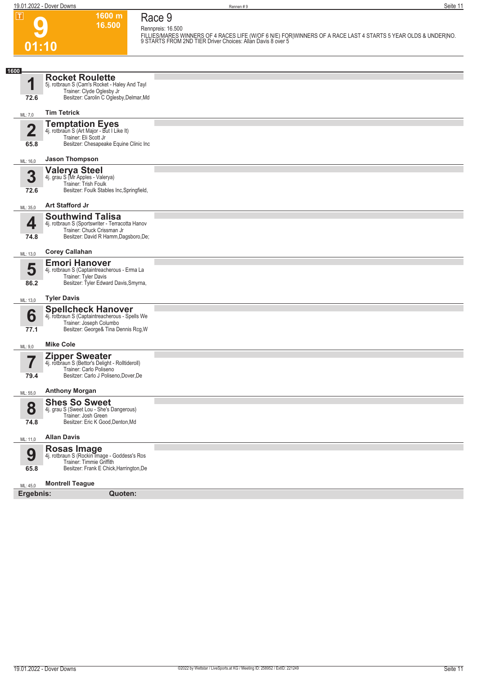#### **19.01.2022 - Dover Downs** Rennen # 9 **Seite 11 9 01:10 1600 m 16.500 Race 9 Rennpreis: 16.500 FILLIES/MARES WINNERS OF 4 RACES LIFE (W/OF 6 N/E) FOR|WINNERS OF A RACE LAST 4 STARTS 5 YEAR OLDS & UNDER|NO. 9 STARTS FROM 2ND TIER Driver Choices: Allan Davis 8 over 5 1 1600** ML: 7,0 **72.6 Rocket Roulette** 5j. rotbraun S (Cam's Rocket - Haley And Tayl Trainer: Clyde Oglesby Jr Besitzer: Carolin C Oglesby,Delmar,Md **Tim Tetrick 2** ML: 16,0 **65.8 Temptation Eyes** 4j. rotbraun S (Art Major - But I Like It) Trainer: Eli Scott Jr Besitzer: Chesapeake Equine Clinic Inc **Jason Thompson 3 72.6 Valerya Steel** 4j. grau S (Mr Apples - Valerya) Trainer: Trish Foulk Besitzer: Foulk Stables Inc,Springfield,

#### $M \cdot 350$ **Art Stafford Jr**

| IVIL: 35,U |                                                                                                                                                |  |
|------------|------------------------------------------------------------------------------------------------------------------------------------------------|--|
| 4          | <b>Southwind Talisa</b><br>4j. rotbraun S (Sportswriter - Terracotta Hanov<br>Trainer: Chuck Crissman Jr                                       |  |
| 74.8       | Besitzer: David R Hamm, Dagsboro, De;                                                                                                          |  |
| ML: 13,0   | <b>Corey Callahan</b>                                                                                                                          |  |
| 5<br>86.2  | <b>Emori Hanover</b><br>4j. rotbraun S (Captaintreacherous - Erma La<br>Trainer: Tyler Davis<br>Besitzer: Tyler Edward Davis, Smyrna,          |  |
| ML: 13,0   | <b>Tyler Davis</b>                                                                                                                             |  |
| 6<br>77.1  | <b>Spellcheck Hanover</b><br>4j. rotbraun S (Captaintreacherous - Spells We<br>Trainer: Joseph Columbo<br>Besitzer: George& Tina Dennis Rcg, W |  |
| ML: 9.0    | <b>Mike Cole</b>                                                                                                                               |  |
| 79.4       | Zipper Sweater<br>4j. rotbraun S (Bettor's Delight - Rolltideroll)<br>Trainer: Carlo Poliseno<br>Besitzer: Carlo J Poliseno, Dover, De         |  |
| ML: 55,0   | <b>Anthony Morgan</b>                                                                                                                          |  |
| 8<br>74.8  | <b>Shes So Sweet</b><br>4j. grau S (Sweet Lou - She's Dangerous)<br>Trainer: Josh Green<br>Besitzer: Eric K Good, Denton, Md                   |  |
| ML: 11,0   | <b>Allan Davis</b>                                                                                                                             |  |
| 9<br>65.8  | <b>Rosas Image</b><br>4j. rotbraun S (Rockin Image - Goddess's Ros<br>Trainer: Timmie Griffith<br>Besitzer: Frank E Chick, Harrington, De      |  |
| ML: 45,0   | <b>Montrell Teague</b>                                                                                                                         |  |

**Ergebnis: Quoten:**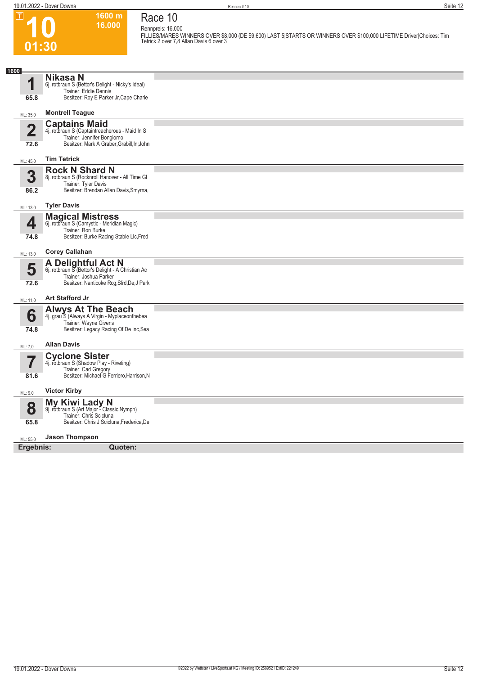$\boxed{1}$ 

**01:30**

**Race 10**

**Rennpreis: 16.000**

**1600 m 16.000** 

**FILLIES/MARES WINNERS OVER \$8,000 (DE \$9,600) LAST 5|STARTS OR WINNERS OVER \$100,000 LIFETIME Driver|Choices: Tim Tetrick 2 over 7,8 Allan Davis 6 over 3** 

| 1600        |                                                                                                                                                          |  |
|-------------|----------------------------------------------------------------------------------------------------------------------------------------------------------|--|
| И           | <b>Nikasa N</b><br>6j. rotbraun S (Bettor's Delight - Nicky's Ideal)<br>Trainer: Eddie Dennis                                                            |  |
| 65.8        | Besitzer: Roy E Parker Jr, Cape Charle                                                                                                                   |  |
| ML: 35,0    | <b>Montrell Teague</b>                                                                                                                                   |  |
| $\mathbf 2$ | <b>Captains Maid</b><br>4j. rotbraun S (Captaintreacherous - Maid In S<br>Trainer: Jennifer Bongiorno                                                    |  |
| 72.6        | Besitzer: Mark A Graber, Grabill, In; John                                                                                                               |  |
| ML: 45,0    | <b>Tim Tetrick</b>                                                                                                                                       |  |
| 3<br>86.2   | <b>Rock N Shard N</b><br>8j. rotbraun S (Rocknroll Hanover - All Time GI<br>Trainer: Tyler Davis<br>Besitzer: Brendan Allan Davis, Smyrna,               |  |
|             |                                                                                                                                                          |  |
| ML: 13,0    | <b>Tyler Davis</b>                                                                                                                                       |  |
| 4           | <b>Magical Mistress</b><br>6j. rotbraun S (Camystic - Meridian Magic)                                                                                    |  |
| 74.8        | Trainer: Ron Burke<br>Besitzer: Burke Racing Stable Llc, Fred                                                                                            |  |
| ML: 13,0    | <b>Corey Callahan</b>                                                                                                                                    |  |
|             | A Delightful Act N                                                                                                                                       |  |
| 5           | 6j. rotbraun S (Bettor's Delight - A Christian Ac<br>Trainer: Joshua Parker                                                                              |  |
| 72.6        | Besitzer: Nanticoke Rcg, Sfrd, De; J Park                                                                                                                |  |
| ML: 11,0    | <b>Art Stafford Jr</b>                                                                                                                                   |  |
| 6<br>74.8   | <b>Alwys At The Beach</b><br>4j. grau <sup>5</sup> (Always A Virgin - Myplaceonthebea<br>Trainer: Wayne Givens<br>Besitzer: Legacy Racing Of De Inc, Sea |  |
| ML: 7,0     | <b>Allan Davis</b>                                                                                                                                       |  |
| 7           | <b>Cyclone Sister</b><br>4j. rotbraun S (Shadow Play - Riveting)<br>Trainer: Cad Gregory                                                                 |  |
| 81.6        | Besitzer: Michael G Ferriero, Harrison, N                                                                                                                |  |
| ML: 9,0     | <b>Victor Kirby</b>                                                                                                                                      |  |
| 8           | <b>My Kiwi Lady N</b><br>9j. rotbraun S (Art Major - Classic Nymph)<br>Trainer: Chris Scicluna                                                           |  |
| 65.8        | Besitzer: Chris J Scicluna, Frederica, De                                                                                                                |  |
| ML: 55,0    | <b>Jason Thompson</b>                                                                                                                                    |  |
| Ergebnis:   | Quoten:                                                                                                                                                  |  |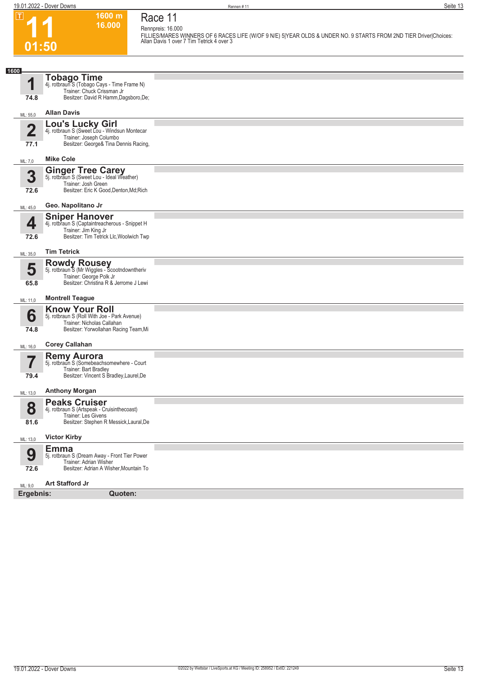$|\mathsf{T}|$ 

**01:50**

**Race 11 Rennpreis: 16.000**

**1600 m 16.000** 

**FILLIES/MARES WINNERS OF 6 RACES LIFE (W/OF 9 N/E) 5|YEAR OLDS & UNDER NO. 9 STARTS FROM 2ND TIER Driver|Choices: Allan Davis 1 over 7 Tim Tetrick 4 over 3** 

| 1600      |                                                                                                                                              |  |
|-----------|----------------------------------------------------------------------------------------------------------------------------------------------|--|
| И<br>74.8 | <b>Tobago Time</b><br>4j. rotbraun S (Tobago Cays - Time Frame N)<br>Trainer: Chuck Crissman Jr<br>Besitzer: David R Hamm, Dagsboro, De;     |  |
| ML: 55,0  | <b>Allan Davis</b>                                                                                                                           |  |
| 2<br>77.1 | Lou's Lucky Girl<br>4j. rotbraun S (Sweet Lou - Windsun Montecar<br>Trainer: Joseph Columbo<br>Besitzer: George& Tina Dennis Racing,         |  |
| ML: 7,0   | <b>Mike Cole</b>                                                                                                                             |  |
| 3<br>72.6 | <b>Ginger Tree Carey</b><br>5j. rotbraun S (Sweet Lou - Ideal Weather)<br>Trainer: Josh Green<br>Besitzer: Eric K Good, Denton, Md; Rich     |  |
| ML: 45,0  | Geo. Napolitano Jr                                                                                                                           |  |
| 4<br>72.6 | <b>Sniper Hanover</b><br>4j. rotbraun S (Captaintreacherous - Snippet H<br>Trainer: Jim King Jr<br>Besitzer: Tim Tetrick Llc, Woolwich Twp   |  |
| ML: 35,0  | <b>Tim Tetrick</b>                                                                                                                           |  |
| 5<br>65.8 | <b>Rowdy Rousey</b><br>5j. rotbraun S (Mr Wiggles - Scootndowntheriv<br>Trainer: George Polk Jr<br>Besitzer: Christina R & Jerrome J Lewi    |  |
| ML: 11,0  | <b>Montrell Teague</b>                                                                                                                       |  |
| 6<br>74.8 | <b>Know Your Roll</b><br>5j. rotbraun S (Roll With Joe - Park Avenue)<br>Trainer: Nicholas Callahan<br>Besitzer: Yorwollahan Racing Team, Mi |  |
| ML: 16,0  | <b>Corey Callahan</b>                                                                                                                        |  |
| 79.4      | <b>Remy Aurora</b><br>5j. rotbraun S (Somebeachsomewhere - Court<br>Trainer: Bart Bradley<br>Besitzer: Vincent S Bradley, Laurel, De         |  |
| ML: 13,0  | <b>Anthony Morgan</b>                                                                                                                        |  |
| Ō<br>81.6 | <b>Peaks Cruiser</b><br>4j. rotbraun S (Artspeak - Cruisinthecoast)<br>Trainer: Les Givens<br>Besitzer: Stephen R Messick, Laural, De        |  |
| ML: 13,0  | <b>Victor Kirby</b>                                                                                                                          |  |
| 9<br>72.6 | <b>Emma</b><br>5j. rotbraun S (Dream Away - Front Tier Power<br>Trainer: Adrian Wisher<br>Besitzer: Adrian A Wisher, Mountain To             |  |
| ML: 9,0   | Art Stafford Jr                                                                                                                              |  |
| Ergebnis: | Quoten:                                                                                                                                      |  |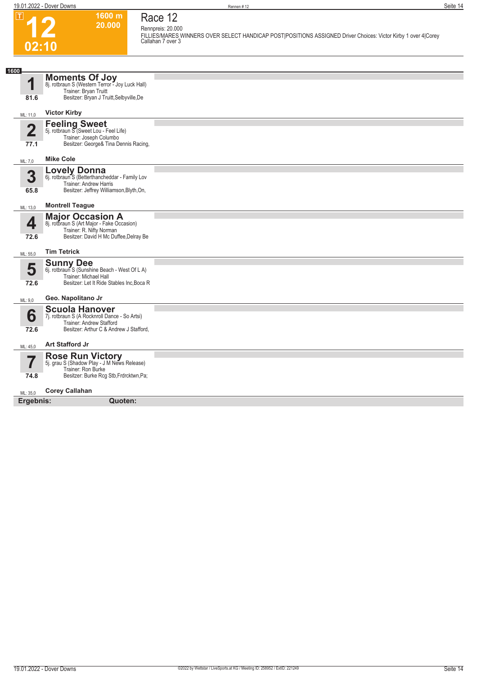**02:10**

 $\boxed{1}$ 

**Race 12 Rennpreis: 20.000**

**1600 m 20.000** 

**FILLIES/MARES WINNERS OVER SELECT HANDICAP POST|POSITIONS ASSIGNED Driver Choices: Victor Kirby 1 over 4|Corey Callahan 7 over 3** 

| 1600                   |                                                                                                                                               |  |
|------------------------|-----------------------------------------------------------------------------------------------------------------------------------------------|--|
| 1                      | <b>Moments Of Joy</b><br>8j. rotbraun S (Western Terror - Joy Luck Hall)<br>Trainer: Bryan Truitt                                             |  |
| 81.6                   | Besitzer: Bryan J Truitt, Selbyville, De                                                                                                      |  |
| ML: 11,0               | <b>Victor Kirby</b>                                                                                                                           |  |
| $\overline{2}$<br>77.1 | <b>Feeling Sweet</b><br>5j. rotbraun S (Sweet Lou - Feel Life)<br>Trainer: Joseph Columbo<br>Besitzer: George& Tina Dennis Racing,            |  |
| ML: 7,0                | <b>Mike Cole</b>                                                                                                                              |  |
| 3<br>65.8              | <b>Lovely Donna</b><br>6j. rotbraun S (Betterthancheddar - Family Lov<br>Trainer: Andrew Harris<br>Besitzer: Jeffrey Williamson, Blyth, On,   |  |
| ML: 13,0               | <b>Montrell Teague</b>                                                                                                                        |  |
| 4<br>72.6              | <b>Major Occasion A</b><br>8j. rotbraun S (Art Major - Fake Occasion)<br>Trainer: R. Nifty Norman<br>Besitzer: David H Mc Duffee, Delray Be   |  |
| ML: 55,0               | <b>Tim Tetrick</b>                                                                                                                            |  |
| 5<br>72.6              | <b>Sunny Dee</b><br>6j. rotbraun S (Sunshine Beach - West Of L A)<br>Trainer: Michael Hall<br>Besitzer: Let It Ride Stables Inc, Boca R       |  |
| ML: 9,0                | Geo. Napolitano Jr                                                                                                                            |  |
| 6<br>72.6              | <b>Scuola Hanover</b><br>7j. rotbraun S (A Rocknroll Dance - So Artsi)<br>Trainer: Andrew Stafford<br>Besitzer: Arthur C & Andrew J Stafford, |  |
| ML: 45,0               | Art Stafford Jr                                                                                                                               |  |
| 74.8                   | <b>Rose Run Victory</b><br>5j. grau S (Shadow Play - J M News Release)<br>Trainer: Ron Burke<br>Besitzer: Burke Rcg Stb, Frdrcktwn, Pa;       |  |
| ML: 35,0               | <b>Corey Callahan</b>                                                                                                                         |  |
| Ergebnis:              | Quoten:                                                                                                                                       |  |